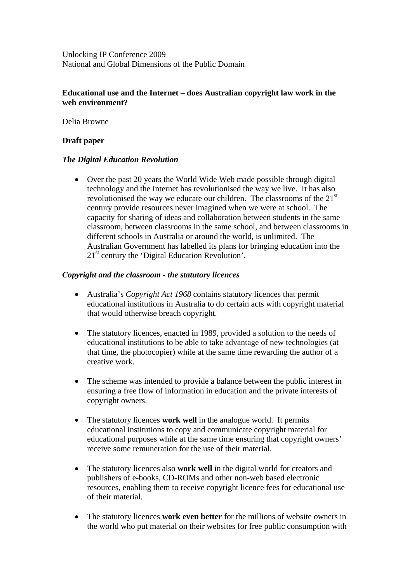Unlocking IP Conference 2009 National and Global Dimensions of the Public Domain

## **Educational use and the Internet – does Australian copyright law work in the web environment?**

Delia Browne

### **Draft paper**

#### *The Digital Education Revolution*

• Over the past 20 years the World Wide Web made possible through digital technology and the Internet has revolutionised the way we live. It has also revolutionised the way we educate our children. The classrooms of the  $21<sup>st</sup>$ century provide resources never imagined when we were at school. The capacity for sharing of ideas and collaboration between students in the same classroom, between classrooms in the same school, and between classrooms in different schools in Australia or around the world, is unlimited. The Australian Government has labelled its plans for bringing education into the 21<sup>st</sup> century the 'Digital Education Revolution'.

## *Copyright and the classroom - the statutory licences*

- Australia's *Copyright Act 1968* contains statutory licences that permit educational institutions in Australia to do certain acts with copyright material that would otherwise breach copyright.
- The statutory licences, enacted in 1989, provided a solution to the needs of educational institutions to be able to take advantage of new technologies (at that time, the photocopier) while at the same time rewarding the author of a creative work.
- The scheme was intended to provide a balance between the public interest in ensuring a free flow of information in education and the private interests of copyright owners.
- The statutory licences **work well** in the analogue world. It permits educational institutions to copy and communicate copyright material for educational purposes while at the same time ensuring that copyright owners' receive some remuneration for the use of their material.
- The statutory licences also **work well** in the digital world for creators and publishers of e-books, CD-ROMs and other non-web based electronic resources, enabling them to receive copyright licence fees for educational use of their material.
- The statutory licences **work even better** for the millions of website owners in the world who put material on their websites for free public consumption with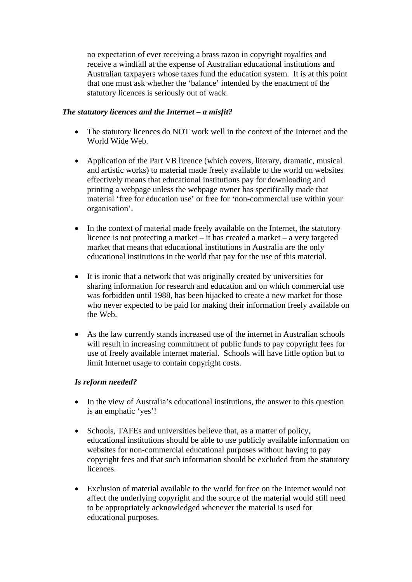no expectation of ever receiving a brass razoo in copyright royalties and receive a windfall at the expense of Australian educational institutions and Australian taxpayers whose taxes fund the education system. It is at this point that one must ask whether the 'balance' intended by the enactment of the statutory licences is seriously out of wack.

## *The statutory licences and the Internet – a misfit?*

- The statutory licences do NOT work well in the context of the Internet and the World Wide Web.
- Application of the Part VB licence (which covers, literary, dramatic, musical and artistic works) to material made freely available to the world on websites effectively means that educational institutions pay for downloading and printing a webpage unless the webpage owner has specifically made that material 'free for education use' or free for 'non-commercial use within your organisation'.
- In the context of material made freely available on the Internet, the statutory licence is not protecting a market – it has created a market – a very targeted market that means that educational institutions in Australia are the only educational institutions in the world that pay for the use of this material.
- It is ironic that a network that was originally created by universities for sharing information for research and education and on which commercial use was forbidden until 1988, has been hijacked to create a new market for those who never expected to be paid for making their information freely available on the Web.
- As the law currently stands increased use of the internet in Australian schools will result in increasing commitment of public funds to pay copyright fees for use of freely available internet material. Schools will have little option but to limit Internet usage to contain copyright costs.

# *Is reform needed?*

- In the view of Australia's educational institutions, the answer to this question is an emphatic 'yes'!
- Schools, TAFEs and universities believe that, as a matter of policy, educational institutions should be able to use publicly available information on websites for non-commercial educational purposes without having to pay copyright fees and that such information should be excluded from the statutory licences.
- Exclusion of material available to the world for free on the Internet would not affect the underlying copyright and the source of the material would still need to be appropriately acknowledged whenever the material is used for educational purposes.